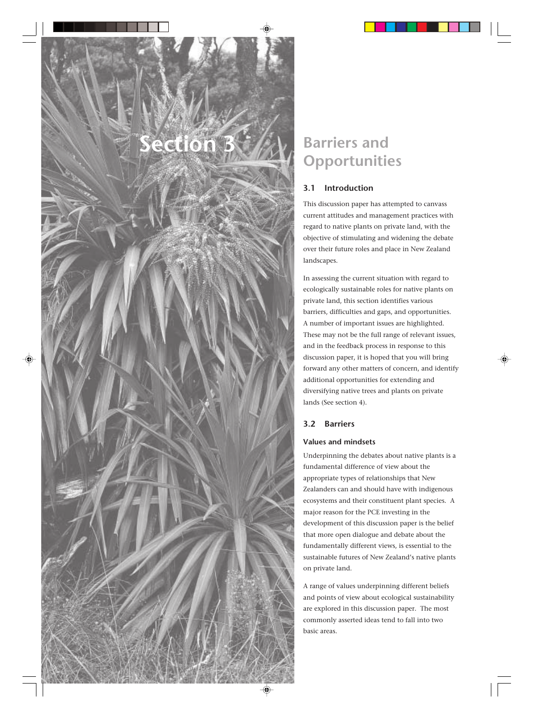# **Section 3**

# **Barriers and Opportunities**

# **3.1 Introduction**

This discussion paper has attempted to canvass current attitudes and management practices with regard to native plants on private land, with the objective of stimulating and widening the debate over their future roles and place in New Zealand landscapes.

In assessing the current situation with regard to ecologically sustainable roles for native plants on private land, this section identifies various barriers, difficulties and gaps, and opportunities. A number of important issues are highlighted. These may not be the full range of relevant issues, and in the feedback process in response to this discussion paper, it is hoped that you will bring forward any other matters of concern, and identify additional opportunities for extending and diversifying native trees and plants on private lands (See section 4).

# **3.2 Barriers**

# **Values and mindsets**

Underpinning the debates about native plants is a fundamental difference of view about the appropriate types of relationships that New Zealanders can and should have with indigenous ecosystems and their constituent plant species. A major reason for the PCE investing in the development of this discussion paper is the belief that more open dialogue and debate about the fundamentally different views, is essential to the sustainable futures of New Zealand's native plants on private land.

A range of values underpinning different beliefs and points of view about ecological sustainability are explored in this discussion paper. The most commonly asserted ideas tend to fall into two basic areas.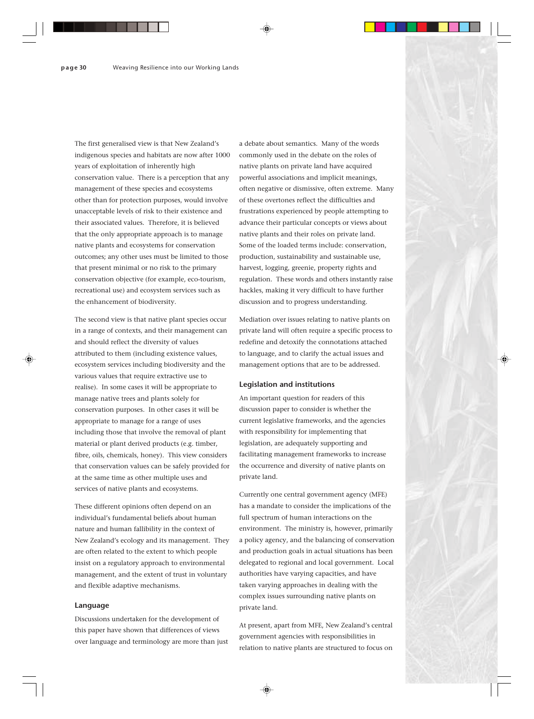The first generalised view is that New Zealand's indigenous species and habitats are now after 1000 years of exploitation of inherently high conservation value. There is a perception that any management of these species and ecosystems other than for protection purposes, would involve unacceptable levels of risk to their existence and their associated values. Therefore, it is believed that the only appropriate approach is to manage native plants and ecosystems for conservation outcomes; any other uses must be limited to those that present minimal or no risk to the primary conservation objective (for example, eco-tourism, recreational use) and ecosystem services such as the enhancement of biodiversity.

The second view is that native plant species occur in a range of contexts, and their management can and should reflect the diversity of values attributed to them (including existence values, ecosystem services including biodiversity and the various values that require extractive use to realise). In some cases it will be appropriate to manage native trees and plants solely for conservation purposes. In other cases it will be appropriate to manage for a range of uses including those that involve the removal of plant material or plant derived products (e.g. timber, fibre, oils, chemicals, honey). This view considers that conservation values can be safely provided for at the same time as other multiple uses and services of native plants and ecosystems.

These different opinions often depend on an individual's fundamental beliefs about human nature and human fallibility in the context of New Zealand's ecology and its management. They are often related to the extent to which people insist on a regulatory approach to environmental management, and the extent of trust in voluntary and flexible adaptive mechanisms.

#### **Language**

Discussions undertaken for the development of this paper have shown that differences of views over language and terminology are more than just

a debate about semantics. Many of the words commonly used in the debate on the roles of native plants on private land have acquired powerful associations and implicit meanings, often negative or dismissive, often extreme. Many of these overtones reflect the difficulties and frustrations experienced by people attempting to advance their particular concepts or views about native plants and their roles on private land. Some of the loaded terms include: conservation, production, sustainability and sustainable use, harvest, logging, greenie, property rights and regulation. These words and others instantly raise hackles, making it very difficult to have further discussion and to progress understanding.

Mediation over issues relating to native plants on private land will often require a specific process to redefine and detoxify the connotations attached to language, and to clarify the actual issues and management options that are to be addressed.

#### **Legislation and institutions**

An important question for readers of this discussion paper to consider is whether the current legislative frameworks, and the agencies with responsibility for implementing that legislation, are adequately supporting and facilitating management frameworks to increase the occurrence and diversity of native plants on private land.

Currently one central government agency (MFE) has a mandate to consider the implications of the full spectrum of human interactions on the environment. The ministry is, however, primarily a policy agency, and the balancing of conservation and production goals in actual situations has been delegated to regional and local government. Local authorities have varying capacities, and have taken varying approaches in dealing with the complex issues surrounding native plants on private land.

At present, apart from MFE, New Zealand's central government agencies with responsibilities in relation to native plants are structured to focus on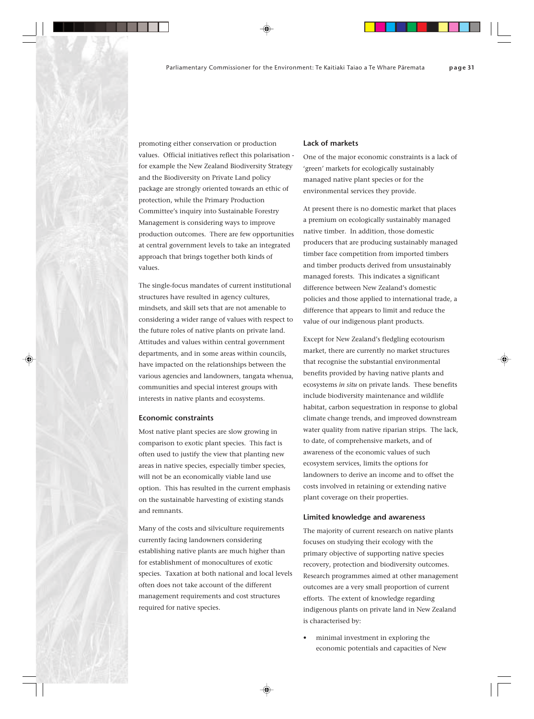promoting either conservation or production values. Official initiatives reflect this polarisation for example the New Zealand Biodiversity Strategy and the Biodiversity on Private Land policy package are strongly oriented towards an ethic of protection, while the Primary Production Committee's inquiry into Sustainable Forestry Management is considering ways to improve production outcomes. There are few opportunities at central government levels to take an integrated approach that brings together both kinds of values.

The single-focus mandates of current institutional structures have resulted in agency cultures, mindsets, and skill sets that are not amenable to considering a wider range of values with respect to the future roles of native plants on private land. Attitudes and values within central government departments, and in some areas within councils, have impacted on the relationships between the various agencies and landowners, tangata whenua, communities and special interest groups with interests in native plants and ecosystems.

#### **Economic constraints**

Most native plant species are slow growing in comparison to exotic plant species. This fact is often used to justify the view that planting new areas in native species, especially timber species, will not be an economically viable land use option. This has resulted in the current emphasis on the sustainable harvesting of existing stands and remnants.

Many of the costs and silviculture requirements currently facing landowners considering establishing native plants are much higher than for establishment of monocultures of exotic species. Taxation at both national and local levels often does not take account of the different management requirements and cost structures required for native species.

#### **Lack of markets**

One of the major economic constraints is a lack of 'green' markets for ecologically sustainably managed native plant species or for the environmental services they provide.

At present there is no domestic market that places a premium on ecologically sustainably managed native timber. In addition, those domestic producers that are producing sustainably managed timber face competition from imported timbers and timber products derived from unsustainably managed forests. This indicates a significant difference between New Zealand's domestic policies and those applied to international trade, a difference that appears to limit and reduce the value of our indigenous plant products.

Except for New Zealand's fledgling ecotourism market, there are currently no market structures that recognise the substantial environmental benefits provided by having native plants and ecosystems *in situ* on private lands. These benefits include biodiversity maintenance and wildlife habitat, carbon sequestration in response to global climate change trends, and improved downstream water quality from native riparian strips. The lack, to date, of comprehensive markets, and of awareness of the economic values of such ecosystem services, limits the options for landowners to derive an income and to offset the costs involved in retaining or extending native plant coverage on their properties.

#### **Limited knowledge and awareness**

The majority of current research on native plants focuses on studying their ecology with the primary objective of supporting native species recovery, protection and biodiversity outcomes. Research programmes aimed at other management outcomes are a very small proportion of current efforts. The extent of knowledge regarding indigenous plants on private land in New Zealand is characterised by:

• minimal investment in exploring the economic potentials and capacities of New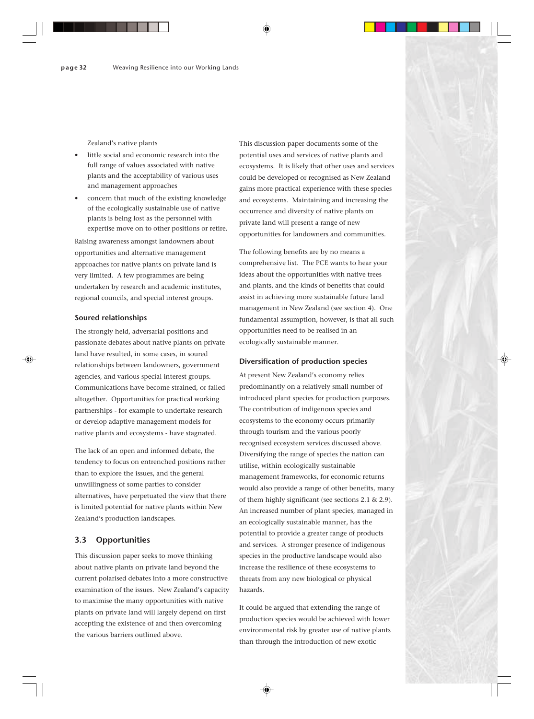Zealand's native plants

- little social and economic research into the full range of values associated with native plants and the acceptability of various uses and management approaches
- concern that much of the existing knowledge of the ecologically sustainable use of native plants is being lost as the personnel with expertise move on to other positions or retire.

Raising awareness amongst landowners about opportunities and alternative management approaches for native plants on private land is very limited. A few programmes are being undertaken by research and academic institutes, regional councils, and special interest groups.

#### **Soured relationships**

The strongly held, adversarial positions and passionate debates about native plants on private land have resulted, in some cases, in soured relationships between landowners, government agencies, and various special interest groups. Communications have become strained, or failed altogether. Opportunities for practical working partnerships - for example to undertake research or develop adaptive management models for native plants and ecosystems - have stagnated.

The lack of an open and informed debate, the tendency to focus on entrenched positions rather than to explore the issues, and the general unwillingness of some parties to consider alternatives, have perpetuated the view that there is limited potential for native plants within New Zealand's production landscapes.

#### **3.3 Opportunities**

This discussion paper seeks to move thinking about native plants on private land beyond the current polarised debates into a more constructive examination of the issues. New Zealand's capacity to maximise the many opportunities with native plants on private land will largely depend on first accepting the existence of and then overcoming the various barriers outlined above.

This discussion paper documents some of the potential uses and services of native plants and ecosystems. It is likely that other uses and services could be developed or recognised as New Zealand gains more practical experience with these species and ecosystems. Maintaining and increasing the occurrence and diversity of native plants on private land will present a range of new opportunities for landowners and communities.

The following benefits are by no means a comprehensive list. The PCE wants to hear your ideas about the opportunities with native trees and plants, and the kinds of benefits that could assist in achieving more sustainable future land management in New Zealand (see section 4). One fundamental assumption, however, is that all such opportunities need to be realised in an ecologically sustainable manner.

#### **Diversification of production species**

At present New Zealand's economy relies predominantly on a relatively small number of introduced plant species for production purposes. The contribution of indigenous species and ecosystems to the economy occurs primarily through tourism and the various poorly recognised ecosystem services discussed above. Diversifying the range of species the nation can utilise, within ecologically sustainable management frameworks, for economic returns would also provide a range of other benefits, many of them highly significant (see sections 2.1 & 2.9). An increased number of plant species, managed in an ecologically sustainable manner, has the potential to provide a greater range of products and services. A stronger presence of indigenous species in the productive landscape would also increase the resilience of these ecosystems to threats from any new biological or physical hazards.

It could be argued that extending the range of production species would be achieved with lower environmental risk by greater use of native plants than through the introduction of new exotic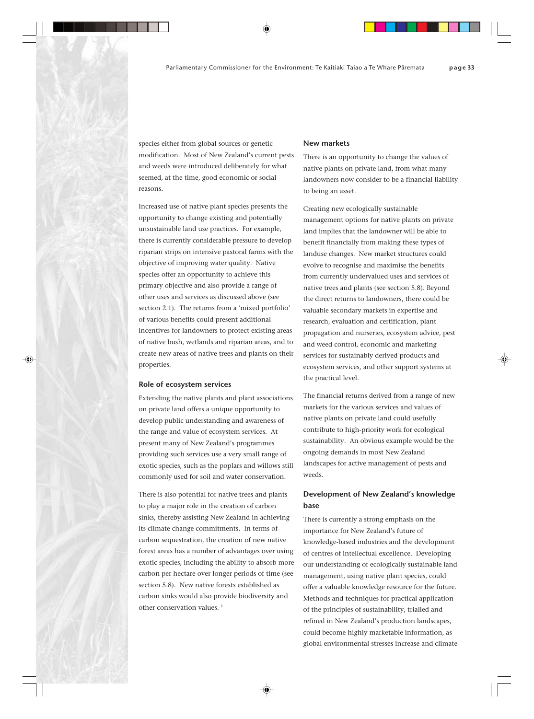species either from global sources or genetic modification. Most of New Zealand's current pests and weeds were introduced deliberately for what seemed, at the time, good economic or social reasons.

Increased use of native plant species presents the opportunity to change existing and potentially unsustainable land use practices. For example, there is currently considerable pressure to develop riparian strips on intensive pastoral farms with the objective of improving water quality. Native species offer an opportunity to achieve this primary objective and also provide a range of other uses and services as discussed above (see section 2.1). The returns from a 'mixed portfolio' of various benefits could present additional incentives for landowners to protect existing areas of native bush, wetlands and riparian areas, and to create new areas of native trees and plants on their properties.

#### **Role of ecosystem services**

Extending the native plants and plant associations on private land offers a unique opportunity to develop public understanding and awareness of the range and value of ecosystem services. At present many of New Zealand's programmes providing such services use a very small range of exotic species, such as the poplars and willows still commonly used for soil and water conservation.

There is also potential for native trees and plants to play a major role in the creation of carbon sinks, thereby assisting New Zealand in achieving its climate change commitments. In terms of carbon sequestration, the creation of new native forest areas has a number of advantages over using exotic species, including the ability to absorb more carbon per hectare over longer periods of time (see section 5.8). New native forests established as carbon sinks would also provide biodiversity and other conservation values.<sup>1</sup>

#### **New markets**

There is an opportunity to change the values of native plants on private land, from what many landowners now consider to be a financial liability to being an asset.

Creating new ecologically sustainable management options for native plants on private land implies that the landowner will be able to benefit financially from making these types of landuse changes. New market structures could evolve to recognise and maximise the benefits from currently undervalued uses and services of native trees and plants (see section 5.8). Beyond the direct returns to landowners, there could be valuable secondary markets in expertise and research, evaluation and certification, plant propagation and nurseries, ecosystem advice, pest and weed control, economic and marketing services for sustainably derived products and ecosystem services, and other support systems at the practical level.

The financial returns derived from a range of new markets for the various services and values of native plants on private land could usefully contribute to high-priority work for ecological sustainability. An obvious example would be the ongoing demands in most New Zealand landscapes for active management of pests and weeds.

## **Development of New Zealand's knowledge base**

There is currently a strong emphasis on the importance for New Zealand's future of knowledge-based industries and the development of centres of intellectual excellence. Developing our understanding of ecologically sustainable land management, using native plant species, could offer a valuable knowledge resource for the future. Methods and techniques for practical application of the principles of sustainability, trialled and refined in New Zealand's production landscapes, could become highly marketable information, as global environmental stresses increase and climate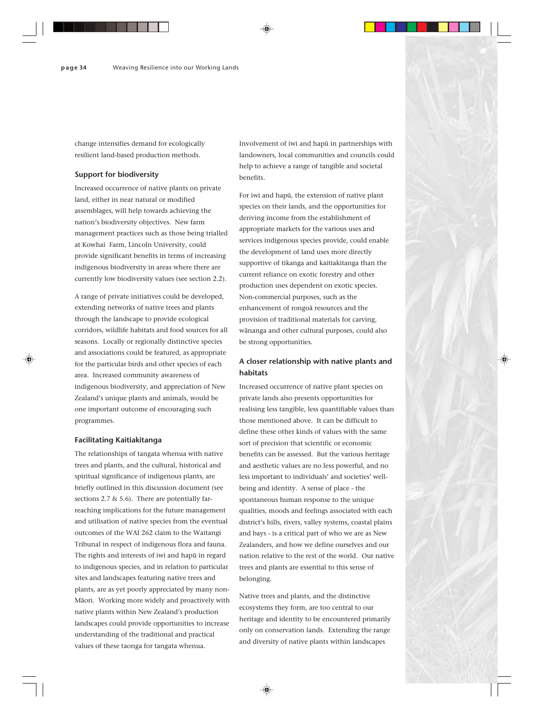change intensifies demand for ecologically resilient land-based production methods.

#### **Support for biodiversity**

Increased occurrence of native plants on private land, either in near natural or modified assemblages, will help towards achieving the nation's biodiversity objectives. New farm management practices such as those being trialled at Kowhai Farm, Lincoln University, could provide significant benefits in terms of increasing indigenous biodiversity in areas where there are currently low biodiversity values (see section 2.2).

A range of private initiatives could be developed, extending networks of native trees and plants through the landscape to provide ecological corridors, wildlife habitats and food sources for all seasons. Locally or regionally distinctive species and associations could be featured, as appropriate for the particular birds and other species of each area. Increased community awareness of indigenous biodiversity, and appreciation of New Zealand's unique plants and animals, would be one important outcome of encouraging such programmes.

#### **Facilitating Kaitiakitanga**

The relationships of tangata whenua with native trees and plants, and the cultural, historical and spiritual significance of indigenous plants, are briefly outlined in this discussion document (see sections 2.7 & 5.6). There are potentially farreaching implications for the future management and utilisation of native species from the eventual outcomes of the WAI 262 claim to the Waitangi Tribunal in respect of indigenous flora and fauna. The rights and interests of iwi and hapü in regard to indigenous species, and in relation to particular sites and landscapes featuring native trees and plants, are as yet poorly appreciated by many non-Mäori. Working more widely and proactively with native plants within New Zealand's production landscapes could provide opportunities to increase understanding of the traditional and practical values of these taonga for tangata whenua.

Involvement of iwi and hapü in partnerships with landowners, local communities and councils could help to achieve a range of tangible and societal benefits.

For iwi and hapü, the extension of native plant species on their lands, and the opportunities for deriving income from the establishment of appropriate markets for the various uses and services indigenous species provide, could enable the development of land uses more directly supportive of tikanga and kaitiakitanga than the current reliance on exotic forestry and other production uses dependent on exotic species. Non-commercial purposes, such as the enhancement of rongoä resources and the provision of traditional materials for carving, wänanga and other cultural purposes, could also be strong opportunities.

## **A closer relationship with native plants and habitats**

Increased occurrence of native plant species on private lands also presents opportunities for realising less tangible, less quantifiable values than those mentioned above. It can be difficult to define these other kinds of values with the same sort of precision that scientific or economic benefits can be assessed. But the various heritage and aesthetic values are no less powerful, and no less important to individuals' and societies' wellbeing and identity. A sense of place - the spontaneous human response to the unique qualities, moods and feelings associated with each district's hills, rivers, valley systems, coastal plains and bays - is a critical part of who we are as New Zealanders, and how we define ourselves and our nation relative to the rest of the world. Our native trees and plants are essential to this sense of belonging.

Native trees and plants, and the distinctive ecosystems they form, are too central to our heritage and identity to be encountered primarily only on conservation lands. Extending the range and diversity of native plants within landscapes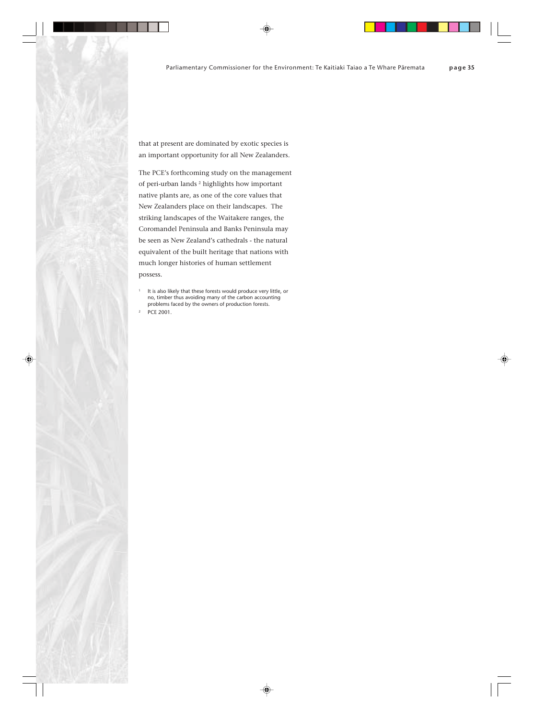that at present are dominated by exotic species is an important opportunity for all New Zealanders.

The PCE's forthcoming study on the management of peri-urban lands 2 highlights how important native plants are, as one of the core values that New Zealanders place on their landscapes. The striking landscapes of the Waitakere ranges, the Coromandel Peninsula and Banks Peninsula may be seen as New Zealand's cathedrals - the natural equivalent of the built heritage that nations with much longer histories of human settlement possess.

It is also likely that these forests would produce very little, or no, timber thus avoiding many of the carbon accounting problems faced by the owners of production forests.

PCE 2001.